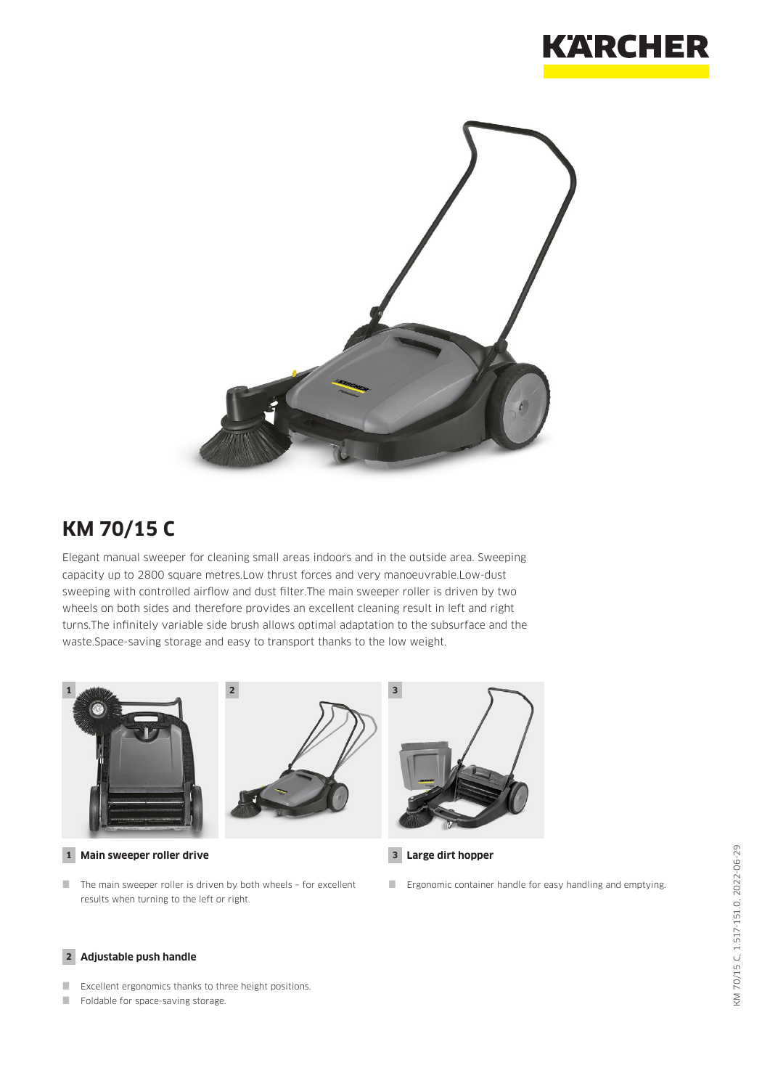



## **KM 70/15 C**

Elegant manual sweeper for cleaning small areas indoors and in the outside area. Sweeping capacity up to 2800 square metres.Low thrust forces and very manoeuvrable.Low-dust sweeping with controlled airflow and dust filter.The main sweeper roller is driven by two wheels on both sides and therefore provides an excellent cleaning result in left and right turns.The infinitely variable side brush allows optimal adaptation to the subsurface and the waste.Space-saving storage and easy to transport thanks to the low weight.



**1 Main sweeper roller drive 3**

 $\blacksquare$  The main sweeper roller is driven by both wheels - for excellent results when turning to the left or right.



**Large dirt hopper**

**Example 2** Ergonomic container handle for easy handling and emptying.

#### **2 Adjustable push handle**

- **EXCELLENT EXCELLENT EXCELLENT EXCELLENT** EXCELLENT EXCELLENT EXCELLENT EXCELLENT EXCELLENT EXCELLENT EXCELLENT
- Foldable for space-saving storage.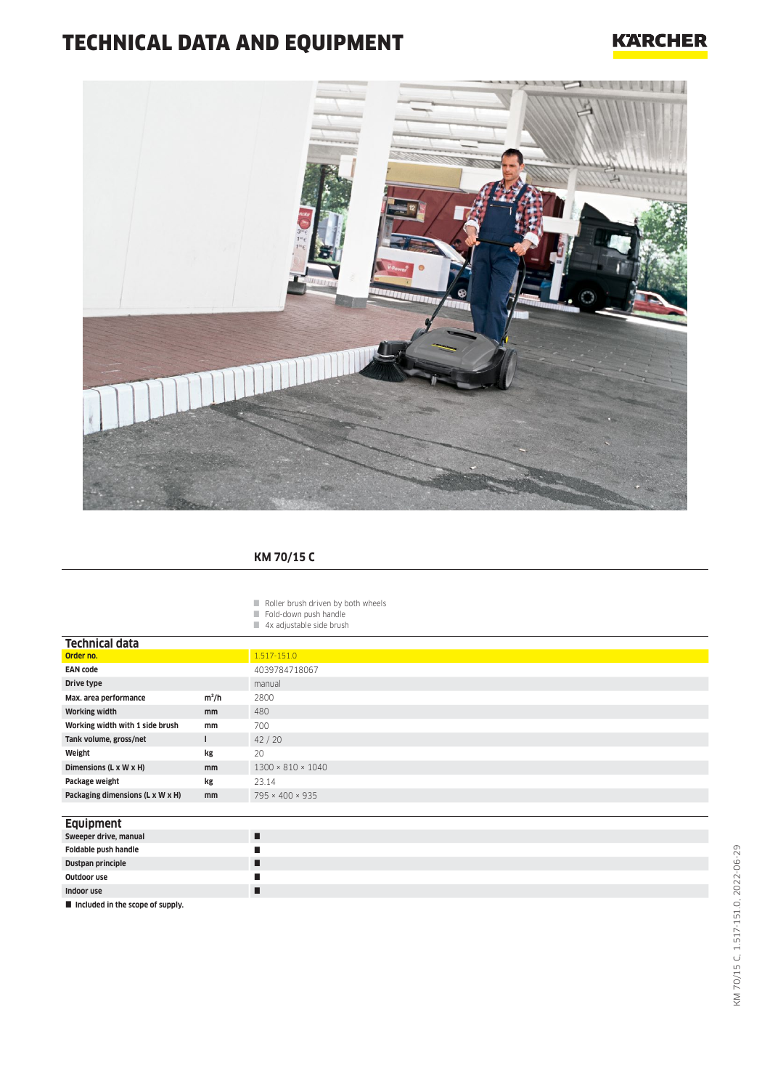# TECHNICAL DATA AND EQUIPMENT

### **KARCHER**



#### **KM 70/15 C**

- $\blacksquare$  Roller brush driven by both wheels
- Fold-down push handle
- 4x adjustable side brush

| <b>Technical data</b>            |               |                               |
|----------------------------------|---------------|-------------------------------|
| Order no.                        |               | 1.517-151.0                   |
| <b>EAN code</b>                  |               | 4039784718067                 |
| Drive type                       |               | manual                        |
| Max. area performance            | $m^2/h$       | 2800                          |
| <b>Working width</b>             | mm            | 480                           |
| Working width with 1 side brush  | mm            | 700                           |
| Tank volume, gross/net           |               | 42/20                         |
| Weight                           | kg            | 20                            |
| Dimensions (L x W x H)           | mm            | $1300 \times 810 \times 1040$ |
| Package weight                   | kg            | 23.14                         |
| Packaging dimensions (L x W x H) | <sub>mm</sub> | 795 × 400 × 935               |

#### **Equipment**

| Sweeper drive, manual                          |   |
|------------------------------------------------|---|
| Foldable push handle                           | ш |
| Dustpan principle                              | г |
| Outdoor use                                    |   |
| Indoor use                                     | г |
| $\blacksquare$ included in the scope of supply |   |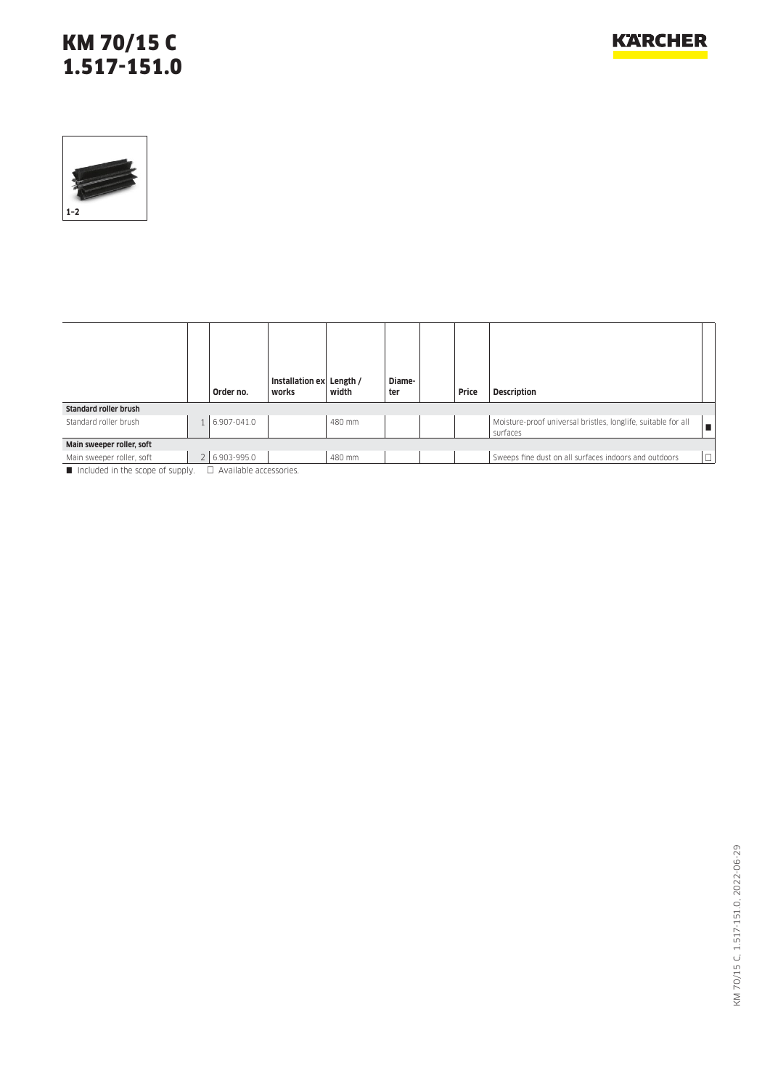### KM 70/15 C 1.517-151.0



|                               | Order no.                  | Installation ex<br>works | Length /<br>width | Diame-<br>ter | Price | <b>Description</b>                                                        |        |
|-------------------------------|----------------------------|--------------------------|-------------------|---------------|-------|---------------------------------------------------------------------------|--------|
| <b>Standard roller brush</b>  |                            |                          |                   |               |       |                                                                           |        |
| Standard roller brush         | 6.907-041.0                |                          | 480 mm            |               |       | Moisture-proof universal bristles, longlife, suitable for all<br>surfaces |        |
| Main sweeper roller, soft     |                            |                          |                   |               |       |                                                                           |        |
| Main sweeper roller, soft     | 2 6.903-995.0              |                          | 480 mm            |               |       | Sweeps fine dust on all surfaces indoors and outdoors                     | $\Box$ |
| locked in the scene of supply | $\Box$ Available according |                          |                   |               |       |                                                                           |        |

Included in the scope of supply.  $\Box$  Available accessories.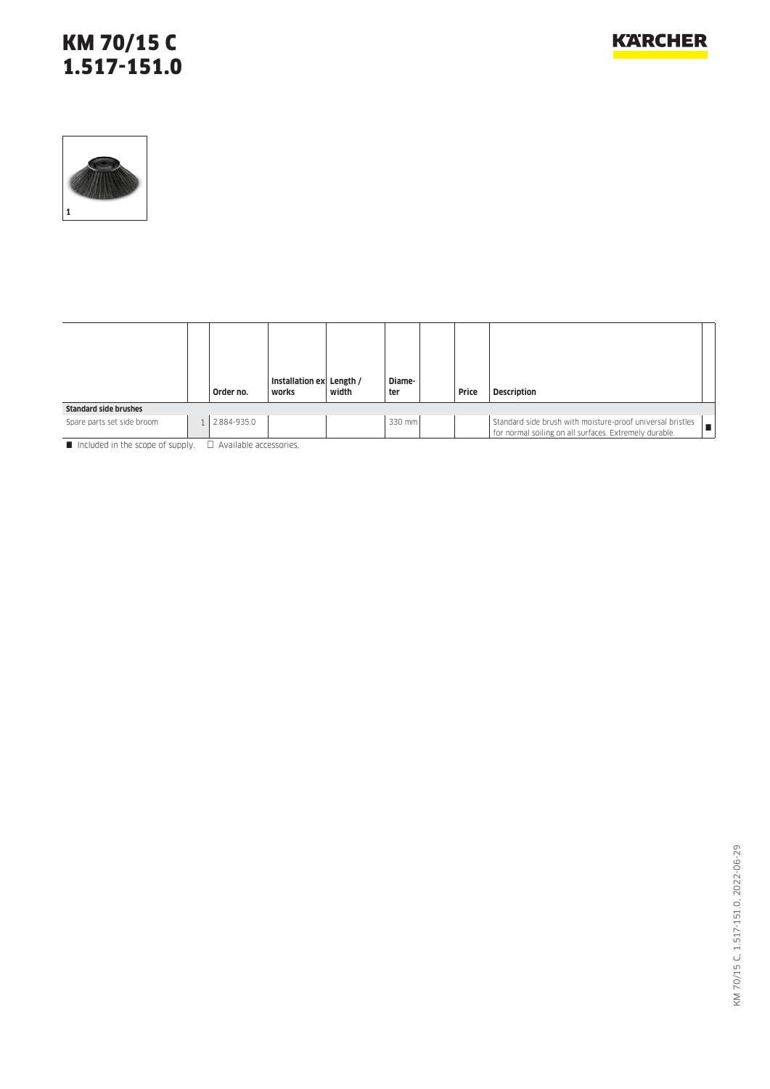### KM 70/15 C 1.517-151.0



|                              | Order no.   | Installation ex Length /<br>works | width | Diame-<br>ter | Price | <b>Description</b>                                                                                                          |
|------------------------------|-------------|-----------------------------------|-------|---------------|-------|-----------------------------------------------------------------------------------------------------------------------------|
| <b>Standard side brushes</b> |             |                                   |       |               |       |                                                                                                                             |
| Spare parts set side broom   | 2.884-935.0 |                                   |       | 330 mm        |       | Standard side brush with moisture-proof universal bristles<br>. .<br>for normal soiling on all surfaces. Extremely durable. |

 $\blacksquare$  Included in the scope of supply.  $\Box$  Available accessories.